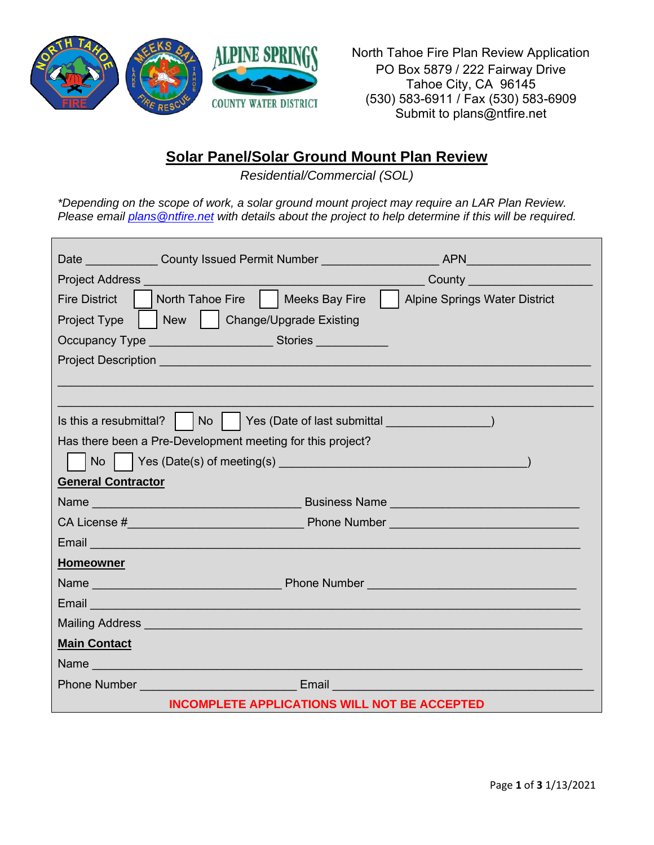

North Tahoe Fire Plan Review Application PO Box 5879 / 222 Fairway Drive Tahoe City, CA 96145 (530) 583-6911 / Fax (530) 583-6909 Submit to plans@ntfire.net

# **Solar Panel/Solar Ground Mount Plan Review**

*Residential/Commercial (SOL)*

*\*Depending on the scope of work, a solar ground mount project may require an LAR Plan Review. Please email [plans@ntfire.net](mailto:plans@ntfire.net) with details about the project to help determine if this will be required.*

| Date ______________County Issued Permit Number _______________                                                                                                                                                                     |                                                                                                                 |  |  |
|------------------------------------------------------------------------------------------------------------------------------------------------------------------------------------------------------------------------------------|-----------------------------------------------------------------------------------------------------------------|--|--|
| Project Address <b>Container and Container and Container and Container and Container</b>                                                                                                                                           | County <u>County</u>                                                                                            |  |  |
| North Tahoe Fire     Meeks Bay Fire  <br><b>Fire District</b>                                                                                                                                                                      | <b>Alpine Springs Water District</b>                                                                            |  |  |
| New   Change/Upgrade Existing<br>Project Type                                                                                                                                                                                      |                                                                                                                 |  |  |
| Occupancy Type ________________________Stories ____________                                                                                                                                                                        |                                                                                                                 |  |  |
|                                                                                                                                                                                                                                    |                                                                                                                 |  |  |
|                                                                                                                                                                                                                                    |                                                                                                                 |  |  |
|                                                                                                                                                                                                                                    |                                                                                                                 |  |  |
| Is this a resubmittal? $\vert$ $\vert$ No $\vert$                                                                                                                                                                                  | Yes (Date of last submittal and a set of last submittal and a set of last submittal and a set of the set of the |  |  |
| Has there been a Pre-Development meeting for this project?                                                                                                                                                                         |                                                                                                                 |  |  |
|                                                                                                                                                                                                                                    |                                                                                                                 |  |  |
| <b>General Contractor</b>                                                                                                                                                                                                          |                                                                                                                 |  |  |
| Name example and the set of the Business Name example and the set of the set of the set of the set of the set of the set of the set of the set of the set of the set of the set of the set of the set of the set of the set of     |                                                                                                                 |  |  |
|                                                                                                                                                                                                                                    |                                                                                                                 |  |  |
|                                                                                                                                                                                                                                    |                                                                                                                 |  |  |
| <b>Homeowner</b>                                                                                                                                                                                                                   |                                                                                                                 |  |  |
|                                                                                                                                                                                                                                    |                                                                                                                 |  |  |
| Email <u>and the company of the company of the company of the company of the company of the company of the company</u>                                                                                                             |                                                                                                                 |  |  |
|                                                                                                                                                                                                                                    |                                                                                                                 |  |  |
| <b>Main Contact</b>                                                                                                                                                                                                                |                                                                                                                 |  |  |
| Name                                                                                                                                                                                                                               |                                                                                                                 |  |  |
| <b>Phone Number Contract Contract Contract Contract Contract Contract Contract Contract Contract Contract Contract Contract Contract Contract Contract Contract Contract Contract Contract Contract Contract Contract Contract</b> |                                                                                                                 |  |  |
| <b>INCOMPLETE APPLICATIONS WILL NOT BE ACCEPTED</b>                                                                                                                                                                                |                                                                                                                 |  |  |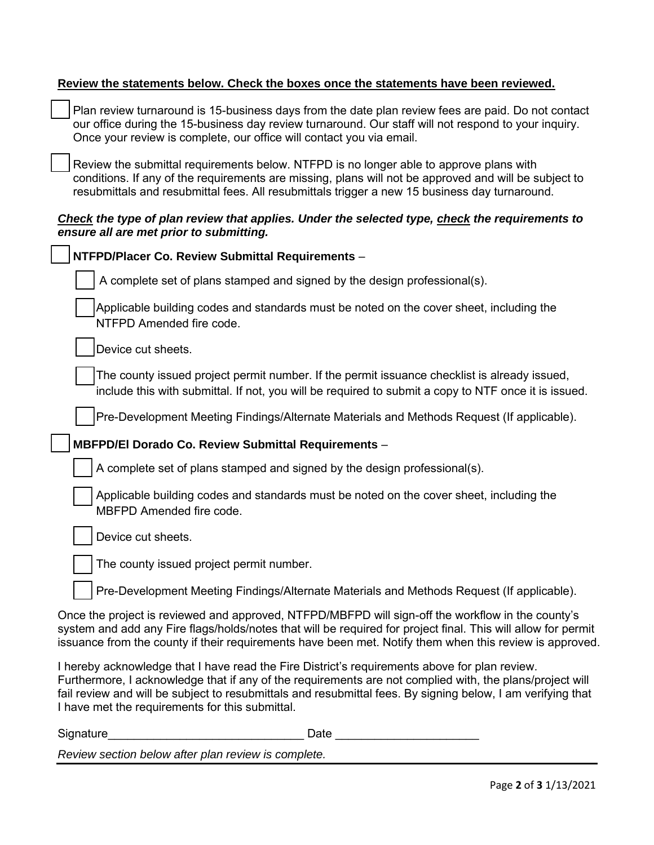#### **Review the statements below. Check the boxes once the statements have been reviewed.**

Plan review turnaround is 15-business days from the date plan review fees are paid. Do not contact our office during the 15-business day review turnaround. Our staff will not respond to your inquiry. Once your review is complete, our office will contact you via email.

Review the submittal requirements below. NTFPD is no longer able to approve plans with conditions. If any of the requirements are missing, plans will not be approved and will be subject to resubmittals and resubmittal fees. All resubmittals trigger a new 15 business day turnaround.

### *Check the type of plan review that applies. Under the selected type, check the requirements to ensure all are met prior to submitting.*

| NTFPD/Placer Co. Review Submittal Requirements -                                                                                                                                                                                                                                                                                                                            |
|-----------------------------------------------------------------------------------------------------------------------------------------------------------------------------------------------------------------------------------------------------------------------------------------------------------------------------------------------------------------------------|
| A complete set of plans stamped and signed by the design professional(s).                                                                                                                                                                                                                                                                                                   |
| Applicable building codes and standards must be noted on the cover sheet, including the<br>NTFPD Amended fire code.                                                                                                                                                                                                                                                         |
| Device cut sheets.                                                                                                                                                                                                                                                                                                                                                          |
| The county issued project permit number. If the permit issuance checklist is already issued,<br>include this with submittal. If not, you will be required to submit a copy to NTF once it is issued.                                                                                                                                                                        |
| Pre-Development Meeting Findings/Alternate Materials and Methods Request (If applicable).                                                                                                                                                                                                                                                                                   |
| MBFPD/El Dorado Co. Review Submittal Requirements -                                                                                                                                                                                                                                                                                                                         |
| A complete set of plans stamped and signed by the design professional(s).                                                                                                                                                                                                                                                                                                   |
| Applicable building codes and standards must be noted on the cover sheet, including the<br>MBFPD Amended fire code.                                                                                                                                                                                                                                                         |
| Device cut sheets.                                                                                                                                                                                                                                                                                                                                                          |
| The county issued project permit number.                                                                                                                                                                                                                                                                                                                                    |
| Pre-Development Meeting Findings/Alternate Materials and Methods Request (If applicable).                                                                                                                                                                                                                                                                                   |
| Once the project is reviewed and approved, NTFPD/MBFPD will sign-off the workflow in the county's<br>system and add any Fire flags/holds/notes that will be required for project final. This will allow for permit<br>issuance from the county if their requirements have been met. Notify them when this review is approved.                                               |
| I hereby acknowledge that I have read the Fire District's requirements above for plan review.<br>Furthermore, I acknowledge that if any of the requirements are not complied with, the plans/project will<br>fail review and will be subject to resubmittals and resubmittal fees. By signing below, I am verifying that<br>I have met the requirements for this submittal. |

| Signature                                           | Date |
|-----------------------------------------------------|------|
| Review section below after plan review is complete. |      |